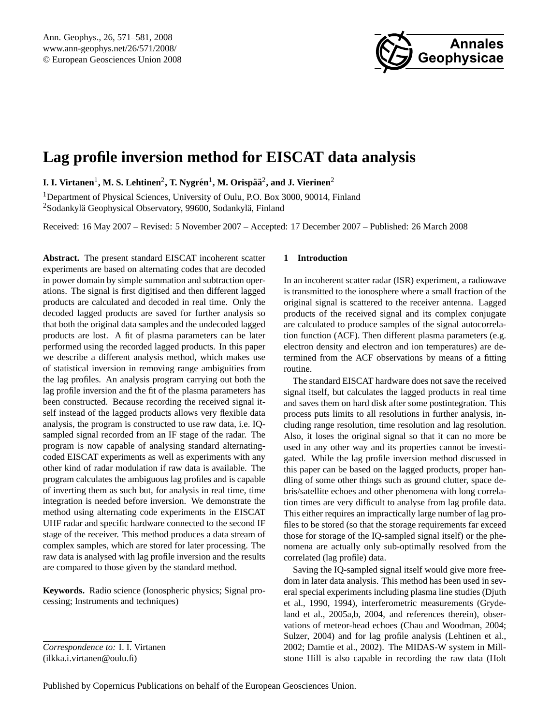

# **Lag profile inversion method for EISCAT data analysis**

 ${\bf I.~I.~Virtanen}^1,$   ${\bf M.~S.~Lethtinen}^2,$   ${\bf T.~Nygrén}^1,$   ${\bf M.~Orispää}^2,$  and  ${\bf J.~Vierinen}^2$ 

<sup>1</sup>Department of Physical Sciences, University of Oulu, P.O. Box 3000, 90014, Finland  $2$ Sodankylä Geophysical Observatory, 99600, Sodankylä, Finland

Received: 16 May 2007 – Revised: 5 November 2007 – Accepted: 17 December 2007 – Published: 26 March 2008

**Abstract.** The present standard EISCAT incoherent scatter experiments are based on alternating codes that are decoded in power domain by simple summation and subtraction operations. The signal is first digitised and then different lagged products are calculated and decoded in real time. Only the decoded lagged products are saved for further analysis so that both the original data samples and the undecoded lagged products are lost. A fit of plasma parameters can be later performed using the recorded lagged products. In this paper we describe a different analysis method, which makes use of statistical inversion in removing range ambiguities from the lag profiles. An analysis program carrying out both the lag profile inversion and the fit of the plasma parameters has been constructed. Because recording the received signal itself instead of the lagged products allows very flexible data analysis, the program is constructed to use raw data, i.e. IQsampled signal recorded from an IF stage of the radar. The program is now capable of analysing standard alternatingcoded EISCAT experiments as well as experiments with any other kind of radar modulation if raw data is available. The program calculates the ambiguous lag profiles and is capable of inverting them as such but, for analysis in real time, time integration is needed before inversion. We demonstrate the method using alternating code experiments in the EISCAT UHF radar and specific hardware connected to the second IF stage of the receiver. This method produces a data stream of complex samples, which are stored for later processing. The raw data is analysed with lag profile inversion and the results are compared to those given by the standard method.

**Keywords.** Radio science (Ionospheric physics; Signal processing; Instruments and techniques)

#### **1 Introduction**

In an incoherent scatter radar (ISR) experiment, a radiowave is transmitted to the ionosphere where a small fraction of the original signal is scattered to the receiver antenna. Lagged products of the received signal and its complex conjugate are calculated to produce samples of the signal autocorrelation function (ACF). Then different plasma parameters (e.g. electron density and electron and ion temperatures) are determined from the ACF observations by means of a fitting routine.

The standard EISCAT hardware does not save the received signal itself, but calculates the lagged products in real time and saves them on hard disk after some postintegration. This process puts limits to all resolutions in further analysis, including range resolution, time resolution and lag resolution. Also, it loses the original signal so that it can no more be used in any other way and its properties cannot be investigated. While the lag profile inversion method discussed in this paper can be based on the lagged products, proper handling of some other things such as ground clutter, space debris/satellite echoes and other phenomena with long correlation times are very difficult to analyse from lag profile data. This either requires an impractically large number of lag profiles to be stored (so that the storage requirements far exceed those for storage of the IQ-sampled signal itself) or the phenomena are actually only sub-optimally resolved from the correlated (lag profile) data.

Saving the IQ-sampled signal itself would give more freedom in later data analysis. This method has been used in several special experiments including plasma line studies (Djuth et al., 1990, 1994), interferometric measurements (Grydeland et al., 2005a,b, 2004, and references therein), observations of meteor-head echoes (Chau and Woodman, 2004; Sulzer, 2004) and for lag profile analysis (Lehtinen et al., 2002; Damtie et al., 2002). The MIDAS-W system in Millstone Hill is also capable in recording the raw data (Holt

*Correspondence to:* I. I. Virtanen (ilkka.i.virtanen@oulu.fi)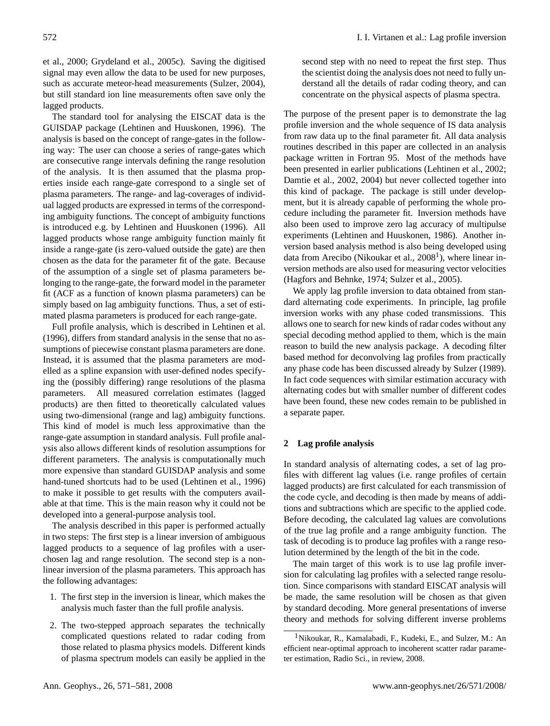et al., 2000; Grydeland et al., 2005c). Saving the digitised signal may even allow the data to be used for new purposes, such as accurate meteor-head measurements (Sulzer, 2004), but still standard ion line measurements often save only the lagged products.

The standard tool for analysing the EISCAT data is the GUISDAP package (Lehtinen and Huuskonen, 1996). The analysis is based on the concept of range-gates in the following way: The user can choose a series of range-gates which are consecutive range intervals defining the range resolution of the analysis. It is then assumed that the plasma properties inside each range-gate correspond to a single set of plasma parameters. The range- and lag-coverages of individual lagged products are expressed in terms of the corresponding ambiguity functions. The concept of ambiguity functions is introduced e.g. by Lehtinen and Huuskonen (1996). All lagged products whose range ambiguity function mainly fit inside a range-gate (is zero-valued outside the gate) are then chosen as the data for the parameter fit of the gate. Because of the assumption of a single set of plasma parameters belonging to the range-gate, the forward model in the parameter fit (ACF as a function of known plasma parameters) can be simply based on lag ambiguity functions. Thus, a set of estimated plasma parameters is produced for each range-gate.

Full profile analysis, which is described in Lehtinen et al. (1996), differs from standard analysis in the sense that no assumptions of piecewise constant plasma parameters are done. Instead, it is assumed that the plasma parameters are modelled as a spline expansion with user-defined nodes specifying the (possibly differing) range resolutions of the plasma parameters. All measured correlation estimates (lagged products) are then fitted to theoretically calculated values using two-dimensional (range and lag) ambiguity functions. This kind of model is much less approximative than the range-gate assumption in standard analysis. Full profile analysis also allows different kinds of resolution assumptions for different parameters. The analysis is computationally much more expensive than standard GUISDAP analysis and some hand-tuned shortcuts had to be used (Lehtinen et al., 1996) to make it possible to get results with the computers available at that time. This is the main reason why it could not be developed into a general-purpose analysis tool.

The analysis described in this paper is performed actually in two steps: The first step is a linear inversion of ambiguous lagged products to a sequence of lag profiles with a userchosen lag and range resolution. The second step is a nonlinear inversion of the plasma parameters. This approach has the following advantages:

- 1. The first step in the inversion is linear, which makes the analysis much faster than the full profile analysis.
- 2. The two-stepped approach separates the technically complicated questions related to radar coding from those related to plasma physics models. Different kinds of plasma spectrum models can easily be applied in the

second step with no need to repeat the first step. Thus the scientist doing the analysis does not need to fully understand all the details of radar coding theory, and can concentrate on the physical aspects of plasma spectra.

The purpose of the present paper is to demonstrate the lag profile inversion and the whole sequence of IS data analysis from raw data up to the final parameter fit. All data analysis routines described in this paper are collected in an analysis package written in Fortran 95. Most of the methods have been presented in earlier publications (Lehtinen et al., 2002; Damtie et al., 2002, 2004) but never collected together into this kind of package. The package is still under development, but it is already capable of performing the whole procedure including the parameter fit. Inversion methods have also been used to improve zero lag accuracy of multipulse experiments (Lehtinen and Huuskonen, 1986). Another inversion based analysis method is also being developed using data from Arecibo (Nikoukar et al., 2008<sup>1</sup>), where linear inversion methods are also used for measuring vector velocities (Hagfors and Behnke, 1974; Sulzer et al., 2005).

We apply lag profile inversion to data obtained from standard alternating code experiments. In principle, lag profile inversion works with any phase coded transmissions. This allows one to search for new kinds of radar codes without any special decoding method applied to them, which is the main reason to build the new analysis package. A decoding filter based method for deconvolving lag profiles from practically any phase code has been discussed already by Sulzer (1989). In fact code sequences with similar estimation accuracy with alternating codes but with smaller number of different codes have been found, these new codes remain to be published in a separate paper.

# **2 Lag profile analysis**

In standard analysis of alternating codes, a set of lag profiles with different lag values (i.e. range profiles of certain lagged products) are first calculated for each transmission of the code cycle, and decoding is then made by means of additions and subtractions which are specific to the applied code. Before decoding, the calculated lag values are convolutions of the true lag profile and a range ambiguity function. The task of decoding is to produce lag profiles with a range resolution determined by the length of the bit in the code.

The main target of this work is to use lag profile inversion for calculating lag profiles with a selected range resolution. Since comparisons with standard EISCAT analysis will be made, the same resolution will be chosen as that given by standard decoding. More general presentations of inverse theory and methods for solving different inverse problems

<sup>1</sup>Nikoukar, R., Kamalabadi, F., Kudeki, E., and Sulzer, M.: An efficient near-optimal approach to incoherent scatter radar parameter estimation, Radio Sci., in review, 2008.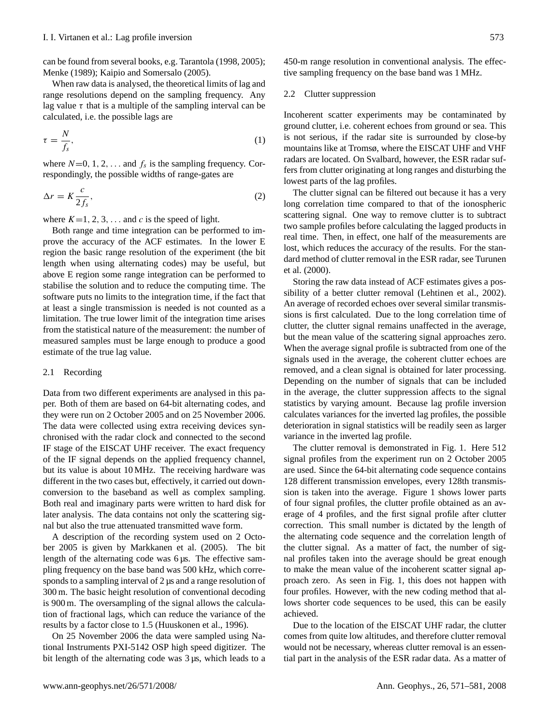can be found from several books, e.g. Tarantola (1998, 2005); Menke (1989); Kaipio and Somersalo (2005).

When raw data is analysed, the theoretical limits of lag and range resolutions depend on the sampling frequency. Any lag value  $\tau$  that is a multiple of the sampling interval can be calculated, i.e. the possible lags are

$$
\tau = \frac{N}{f_s},\tag{1}
$$

where  $N=0, 1, 2, \ldots$  and  $f_s$  is the sampling frequency. Correspondingly, the possible widths of range-gates are

$$
\Delta r = K \frac{c}{2f_s},\tag{2}
$$

where  $K=1, 2, 3, \ldots$  and c is the speed of light.

Both range and time integration can be performed to improve the accuracy of the ACF estimates. In the lower E region the basic range resolution of the experiment (the bit length when using alternating codes) may be useful, but above E region some range integration can be performed to stabilise the solution and to reduce the computing time. The software puts no limits to the integration time, if the fact that at least a single transmission is needed is not counted as a limitation. The true lower limit of the integration time arises from the statistical nature of the measurement: the number of measured samples must be large enough to produce a good estimate of the true lag value.

#### 2.1 Recording

Data from two different experiments are analysed in this paper. Both of them are based on 64-bit alternating codes, and they were run on 2 October 2005 and on 25 November 2006. The data were collected using extra receiving devices synchronised with the radar clock and connected to the second IF stage of the EISCAT UHF receiver. The exact frequency of the IF signal depends on the applied frequency channel, but its value is about 10 MHz. The receiving hardware was different in the two cases but, effectively, it carried out downconversion to the baseband as well as complex sampling. Both real and imaginary parts were written to hard disk for later analysis. The data contains not only the scattering signal but also the true attenuated transmitted wave form.

A description of the recording system used on 2 October 2005 is given by Markkanen et al. (2005). The bit length of the alternating code was 6 µs. The effective sampling frequency on the base band was 500 kHz, which corresponds to a sampling interval of 2  $\mu$ s and a range resolution of 300 m. The basic height resolution of conventional decoding is 900 m. The oversampling of the signal allows the calculation of fractional lags, which can reduce the variance of the results by a factor close to 1.5 (Huuskonen et al., 1996).

On 25 November 2006 the data were sampled using National Instruments PXI-5142 OSP high speed digitizer. The bit length of the alternating code was  $3 \mu s$ , which leads to a 450-m range resolution in conventional analysis. The effective sampling frequency on the base band was 1 MHz.

## 2.2 Clutter suppression

Incoherent scatter experiments may be contaminated by ground clutter, i.e. coherent echoes from ground or sea. This is not serious, if the radar site is surrounded by close-by mountains like at Tromsø, where the EISCAT UHF and VHF radars are located. On Svalbard, however, the ESR radar suffers from clutter originating at long ranges and disturbing the lowest parts of the lag profiles.

The clutter signal can be filtered out because it has a very long correlation time compared to that of the ionospheric scattering signal. One way to remove clutter is to subtract two sample profiles before calculating the lagged products in real time. Then, in effect, one half of the measurements are lost, which reduces the accuracy of the results. For the standard method of clutter removal in the ESR radar, see Turunen et al. (2000).

Storing the raw data instead of ACF estimates gives a possibility of a better clutter removal (Lehtinen et al., 2002). An average of recorded echoes over several similar transmissions is first calculated. Due to the long correlation time of clutter, the clutter signal remains unaffected in the average, but the mean value of the scattering signal approaches zero. When the average signal profile is subtracted from one of the signals used in the average, the coherent clutter echoes are removed, and a clean signal is obtained for later processing. Depending on the number of signals that can be included in the average, the clutter suppression affects to the signal statistics by varying amount. Because lag profile inversion calculates variances for the inverted lag profiles, the possible deterioration in signal statistics will be readily seen as larger variance in the inverted lag profile.

The clutter removal is demonstrated in Fig. 1. Here 512 signal profiles from the experiment run on 2 October 2005 are used. Since the 64-bit alternating code sequence contains 128 different transmission envelopes, every 128th transmission is taken into the average. Figure 1 shows lower parts of four signal profiles, the clutter profile obtained as an average of 4 profiles, and the first signal profile after clutter correction. This small number is dictated by the length of the alternating code sequence and the correlation length of the clutter signal. As a matter of fact, the number of signal profiles taken into the average should be great enough to make the mean value of the incoherent scatter signal approach zero. As seen in Fig. 1, this does not happen with four profiles. However, with the new coding method that allows shorter code sequences to be used, this can be easily achieved.

Due to the location of the EISCAT UHF radar, the clutter comes from quite low altitudes, and therefore clutter removal would not be necessary, whereas clutter removal is an essential part in the analysis of the ESR radar data. As a matter of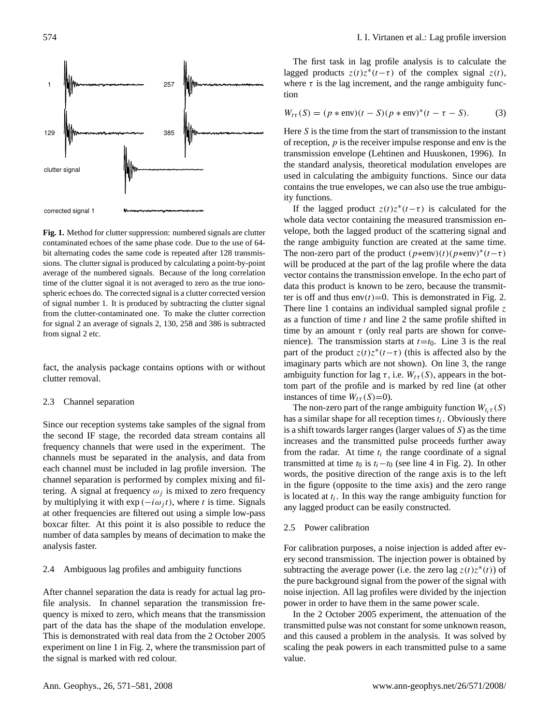

**Fig. 1.** Method for clutter suppression: numbered signals are clutter contaminated echoes of the same phase code. Due to the use of 64 bit alternating codes the same code is repeated after 128 transmissions. The clutter signal is produced by calculating a point-by-point average of the numbered signals. Because of the long correlation time of the clutter signal it is not averaged to zero as the true ionospheric echoes do. The corrected signal is a clutter corrected version of signal number 1. It is produced by subtracting the clutter signal from the clutter-contaminated one. To make the clutter correction for signal 2 an average of signals 2, 130, 258 and 386 is subtracted from signal 2 etc.

fact, the analysis package contains options with or without clutter removal.

## 2.3 Channel separation

Since our reception systems take samples of the signal from the second IF stage, the recorded data stream contains all frequency channels that were used in the experiment. The channels must be separated in the analysis, and data from each channel must be included in lag profile inversion. The channel separation is performed by complex mixing and filtering. A signal at frequency  $\omega_i$  is mixed to zero frequency by multiplying it with  $\exp(-i\omega_j t)$ , where t is time. Signals at other frequencies are filtered out using a simple low-pass boxcar filter. At this point it is also possible to reduce the number of data samples by means of decimation to make the analysis faster.

## 2.4 Ambiguous lag profiles and ambiguity functions

After channel separation the data is ready for actual lag profile analysis. In channel separation the transmission frequency is mixed to zero, which means that the transmission part of the data has the shape of the modulation envelope. This is demonstrated with real data from the 2 October 2005 experiment on line 1 in Fig. 2, where the transmission part of the signal is marked with red colour.

The first task in lag profile analysis is to calculate the lagged products  $z(t)z^*(t-\tau)$  of the complex signal  $z(t)$ , where  $\tau$  is the lag increment, and the range ambiguity function

$$
W_{t\tau}(S) = (p * env)(t - S)(p * env)^{*}(t - \tau - S).
$$
 (3)

Here  $S$  is the time from the start of transmission to the instant of reception,  $p$  is the receiver impulse response and env is the transmission envelope (Lehtinen and Huuskonen, 1996). In the standard analysis, theoretical modulation envelopes are used in calculating the ambiguity functions. Since our data contains the true envelopes, we can also use the true ambiguity functions.

If the lagged product  $z(t)z^*(t-\tau)$  is calculated for the whole data vector containing the measured transmission envelope, both the lagged product of the scattering signal and the range ambiguity function are created at the same time. The non-zero part of the product  $(p*env)(t)(p*env)*$ will be produced at the part of the lag profile where the data vector contains the transmission envelope. In the echo part of data this product is known to be zero, because the transmitter is off and thus  $env(t)=0$ . This is demonstrated in Fig. 2. There line 1 contains an individual sampled signal profile  $z$ as a function of time  $t$  and line 2 the same profile shifted in time by an amount  $\tau$  (only real parts are shown for convenience). The transmission starts at  $t=t_0$ . Line 3 is the real part of the product  $z(t)z^*(t-\tau)$  (this is affected also by the imaginary parts which are not shown). On line 3, the range ambiguity function for lag  $\tau$ , i.e.  $W_{t\tau}(S)$ , appears in the bottom part of the profile and is marked by red line (at other instances of time  $W_{t\tau}(S)=0$ ).

The non-zero part of the range ambiguity function  $W_{t_i \tau}(S)$ has a similar shape for all reception times  $t_i$ . Obviously there is a shift towards larger ranges (larger values of S) as the time increases and the transmitted pulse proceeds further away from the radar. At time  $t_i$  the range coordinate of a signal transmitted at time  $t_0$  is  $t_i-t_0$  (see line 4 in Fig. 2). In other words, the positive direction of the range axis is to the left in the figure (opposite to the time axis) and the zero range is located at  $t_i$ . In this way the range ambiguity function for any lagged product can be easily constructed.

#### 2.5 Power calibration

For calibration purposes, a noise injection is added after every second transmission. The injection power is obtained by subtracting the average power (i.e. the zero lag  $z(t)z^*(t)$ ) of the pure background signal from the power of the signal with noise injection. All lag profiles were divided by the injection power in order to have them in the same power scale.

In the 2 October 2005 experiment, the attenuation of the transmitted pulse was not constant for some unknown reason, and this caused a problem in the analysis. It was solved by scaling the peak powers in each transmitted pulse to a same value.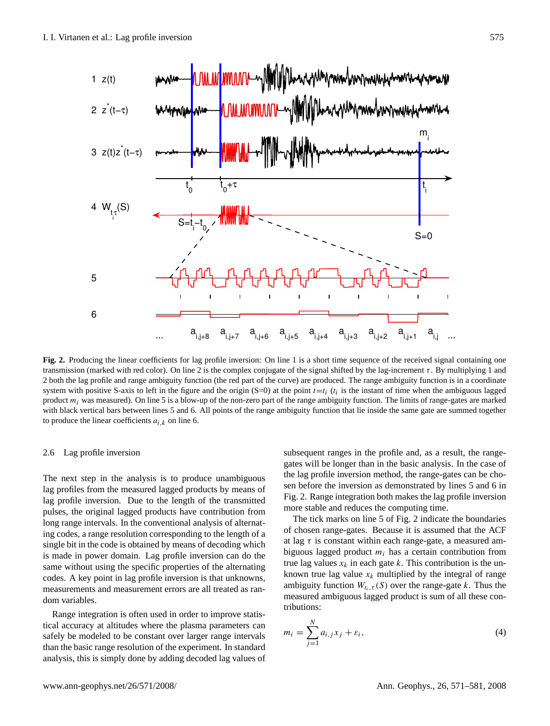

Fig. 2. Producing the linear coefficients for lag profile inversion: On line 1 is a short time sequence of the received signal containing one transmission (marked with red color). On line 2 is the complex conjugate of the signal shifted by the lag-increment τ. By multiplying 1 and 2 both the lag profile and range ambiguity function (the red part of the curve) are produced. The range ambiguity function is in a coordinate system with positive S-axis to left in the figure and the origin (S=0) at the point  $t=t_i$  ( $t_i$  is the instant of time when the ambiguous lagged product  $m_i$  was measured). On line 5 is a blow-up of the non-zero part of the range ambiguity function. The limits of range-gates are marked with black vertical bars between lines 5 and 6. All points of the range ambiguity function that lie inside the same gate are summed together to produce the linear coefficients  $a_{i,k}$  on line 6.

## 2.6 Lag profile inversion

The next step in the analysis is to produce unambiguous lag profiles from the measured lagged products by means of lag profile inversion. Due to the length of the transmitted pulses, the original lagged products have contribution from long range intervals. In the conventional analysis of alternating codes, a range resolution corresponding to the length of a single bit in the code is obtained by means of decoding which is made in power domain. Lag profile inversion can do the same without using the specific properties of the alternating codes. A key point in lag profile inversion is that unknowns, measurements and measurement errors are all treated as random variables.

Range integration is often used in order to improve statistical accuracy at altitudes where the plasma parameters can safely be modeled to be constant over larger range intervals than the basic range resolution of the experiment. In standard analysis, this is simply done by adding decoded lag values of subsequent ranges in the profile and, as a result, the rangegates will be longer than in the basic analysis. In the case of the lag profile inversion method, the range-gates can be chosen before the inversion as demonstrated by lines 5 and 6 in Fig. 2. Range integration both makes the lag profile inversion more stable and reduces the computing time.

The tick marks on line 5 of Fig. 2 indicate the boundaries of chosen range-gates. Because it is assumed that the ACF at lag  $\tau$  is constant within each range-gate, a measured ambiguous lagged product  $m_i$  has a certain contribution from true lag values  $x_k$  in each gate k. This contribution is the unknown true lag value  $x_k$  multiplied by the integral of range ambiguity function  $W_{t_i, \tau}(S)$  over the range-gate k. Thus the measured ambiguous lagged product is sum of all these contributions:

$$
m_i = \sum_{j=1}^{N} a_{i,j} x_j + \varepsilon_i,
$$
\n<sup>(4)</sup>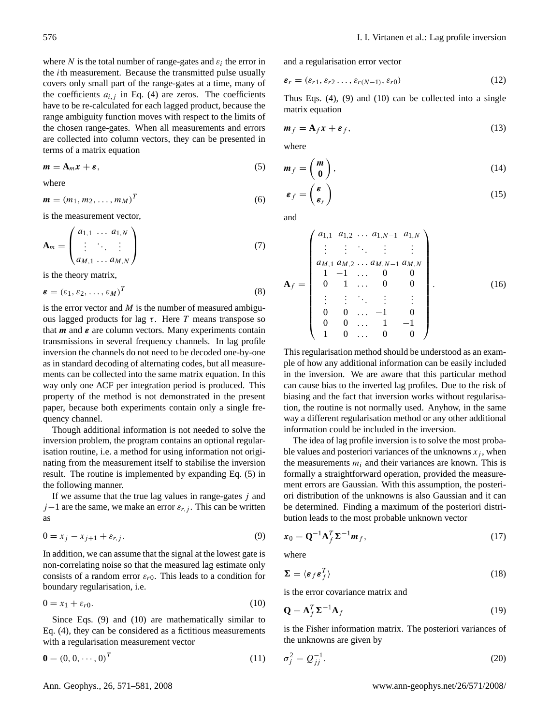where N is the total number of range-gates and  $\varepsilon_i$  the error in the ith measurement. Because the transmitted pulse usually covers only small part of the range-gates at a time, many of the coefficients  $a_{i,j}$  in Eq. (4) are zeros. The coefficients have to be re-calculated for each lagged product, because the range ambiguity function moves with respect to the limits of the chosen range-gates. When all measurements and errors are collected into column vectors, they can be presented in terms of a matrix equation

$$
m = A_m x + \varepsilon, \tag{5}
$$

where

$$
\mathbf{m} = (m_1, m_2, \dots, m_M)^T
$$
 (6)

is the measurement vector,

$$
\mathbf{A}_m = \begin{pmatrix} a_{1,1} & \dots & a_{1,N} \\ \vdots & \ddots & \vdots \\ a_{M,1} & \dots & a_{M,N} \end{pmatrix} \tag{7}
$$

is the theory matrix,

$$
\boldsymbol{\varepsilon} = (\varepsilon_1, \varepsilon_2, \dots, \varepsilon_M)^T
$$
\n(8)

is the error vector and  $M$  is the number of measured ambiguous lagged products for lag  $\tau$ . Here T means transpose so that  $m$  and  $\varepsilon$  are column vectors. Many experiments contain transmissions in several frequency channels. In lag profile inversion the channels do not need to be decoded one-by-one as in standard decoding of alternating codes, but all measurements can be collected into the same matrix equation. In this way only one ACF per integration period is produced. This property of the method is not demonstrated in the present paper, because both experiments contain only a single frequency channel.

Though additional information is not needed to solve the inversion problem, the program contains an optional regularisation routine, i.e. a method for using information not originating from the measurement itself to stabilise the inversion result. The routine is implemented by expanding Eq. (5) in the following manner.

If we assume that the true lag values in range-gates  $j$  and j−1 are the same, we make an error  $\varepsilon_{r,j}$ . This can be written as

$$
0 = x_j - x_{j+1} + \varepsilon_{r,j}.
$$
 (9)

In addition, we can assume that the signal at the lowest gate is non-correlating noise so that the measured lag estimate only consists of a random error  $\varepsilon_{r0}$ . This leads to a condition for boundary regularisation, i.e.

$$
0 = x_1 + \varepsilon_{r0}.\tag{10}
$$

Since Eqs. (9) and (10) are mathematically similar to Eq. (4), they can be considered as a fictitious measurements with a regularisation measurement vector

$$
\mathbf{0} = (0, 0, \cdots, 0)^T
$$
 (11)

and a regularisation error vector

$$
\boldsymbol{\varepsilon}_r = (\varepsilon_{r1}, \varepsilon_{r2} \dots, \varepsilon_{r(N-1)}, \varepsilon_{r0}) \tag{12}
$$

Thus Eqs. (4), (9) and (10) can be collected into a single matrix equation

$$
\mathbf{m}_f = \mathbf{A}_f \mathbf{x} + \boldsymbol{\varepsilon}_f,\tag{13}
$$

where

$$
\mathbf{m}_f = \begin{pmatrix} \mathbf{m} \\ \mathbf{0} \end{pmatrix},\tag{14}
$$

$$
\boldsymbol{\varepsilon}_f = \begin{pmatrix} \boldsymbol{\varepsilon} \\ \boldsymbol{\varepsilon}_r \end{pmatrix} \tag{15}
$$

and

$$
\mathbf{A}_{f} = \begin{pmatrix} a_{1,1} & a_{1,2} & \dots & a_{1,N-1} & a_{1,N} \\ \vdots & \vdots & \ddots & \vdots & \vdots \\ a_{M,1} & a_{M,2} & \dots & a_{M,N-1} & a_{M,N} \\ 1 & -1 & \dots & 0 & 0 \\ 0 & 1 & \dots & 0 & 0 \\ \vdots & \vdots & \ddots & \vdots & \vdots \\ 0 & 0 & \dots & -1 & 0 \\ 0 & 0 & \dots & 1 & -1 \\ 1 & 0 & \dots & 0 & 0 \end{pmatrix} .
$$
 (16)

This regularisation method should be understood as an example of how any additional information can be easily included in the inversion. We are aware that this particular method can cause bias to the inverted lag profiles. Due to the risk of biasing and the fact that inversion works without regularisation, the routine is not normally used. Anyhow, in the same way a different regularisation method or any other additional information could be included in the inversion.

The idea of lag profile inversion is to solve the most probable values and posteriori variances of the unknowns  $x_i$ , when the measurements  $m_i$  and their variances are known. This is formally a straightforward operation, provided the measurement errors are Gaussian. With this assumption, the posteriori distribution of the unknowns is also Gaussian and it can be determined. Finding a maximum of the posteriori distribution leads to the most probable unknown vector

$$
\mathbf{x}_0 = \mathbf{Q}^{-1} \mathbf{A}_f^T \mathbf{\Sigma}^{-1} \mathbf{m}_f,\tag{17}
$$

where

$$
\mathbf{\Sigma} = \langle \boldsymbol{\varepsilon}_f \boldsymbol{\varepsilon}_f^T \rangle \tag{18}
$$

is the error covariance matrix and

$$
\mathbf{Q} = \mathbf{A}_f^T \mathbf{\Sigma}^{-1} \mathbf{A}_f \tag{19}
$$

is the Fisher information matrix. The posteriori variances of the unknowns are given by

$$
\sigma_j^2 = Q_{jj}^{-1}.\tag{20}
$$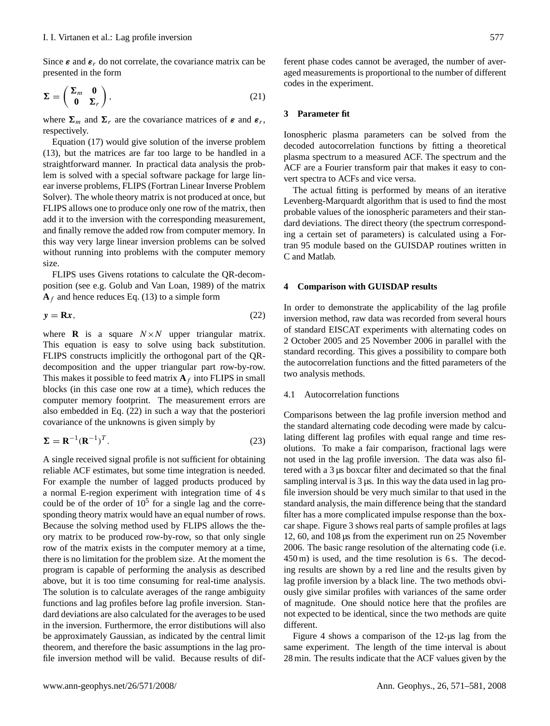Since  $\varepsilon$  and  $\varepsilon_r$  do not correlate, the covariance matrix can be presented in the form

$$
\Sigma = \begin{pmatrix} \Sigma_m & 0 \\ 0 & \Sigma_r \end{pmatrix}, \tag{21}
$$

where  $\Sigma_m$  and  $\Sigma_r$  are the covariance matrices of  $\varepsilon$  and  $\varepsilon_r$ , respectively.

Equation (17) would give solution of the inverse problem (13), but the matrices are far too large to be handled in a straightforward manner. In practical data analysis the problem is solved with a special software package for large linear inverse problems, FLIPS (Fortran Linear Inverse Problem Solver). The whole theory matrix is not produced at once, but FLIPS allows one to produce only one row of the matrix, then add it to the inversion with the corresponding measurement, and finally remove the added row from computer memory. In this way very large linear inversion problems can be solved without running into problems with the computer memory size.

FLIPS uses Givens rotations to calculate the QR-decomposition (see e.g. Golub and Van Loan, 1989) of the matrix  $A_f$  and hence reduces Eq. (13) to a simple form

$$
y = \mathbf{R}x,\tag{22}
$$

where **R** is a square  $N \times N$  upper triangular matrix. This equation is easy to solve using back substitution. FLIPS constructs implicitly the orthogonal part of the QRdecomposition and the upper triangular part row-by-row. This makes it possible to feed matrix  $A_f$  into FLIPS in small blocks (in this case one row at a time), which reduces the computer memory footprint. The measurement errors are also embedded in Eq. (22) in such a way that the posteriori covariance of the unknowns is given simply by

$$
\Sigma = \mathbf{R}^{-1} (\mathbf{R}^{-1})^T. \tag{23}
$$

A single received signal profile is not sufficient for obtaining reliable ACF estimates, but some time integration is needed. For example the number of lagged products produced by a normal E-region experiment with integration time of 4 s could be of the order of  $10<sup>5</sup>$  for a single lag and the corresponding theory matrix would have an equal number of rows. Because the solving method used by FLIPS allows the theory matrix to be produced row-by-row, so that only single row of the matrix exists in the computer memory at a time, there is no limitation for the problem size. At the moment the program is capable of performing the analysis as described above, but it is too time consuming for real-time analysis. The solution is to calculate averages of the range ambiguity functions and lag profiles before lag profile inversion. Standard deviations are also calculated for the averages to be used in the inversion. Furthermore, the error distibutions will also be approximately Gaussian, as indicated by the central limit theorem, and therefore the basic assumptions in the lag profile inversion method will be valid. Because results of different phase codes cannot be averaged, the number of averaged measurements is proportional to the number of different codes in the experiment.

# **3 Parameter fit**

Ionospheric plasma parameters can be solved from the decoded autocorrelation functions by fitting a theoretical plasma spectrum to a measured ACF. The spectrum and the ACF are a Fourier transform pair that makes it easy to convert spectra to ACFs and vice versa.

The actual fitting is performed by means of an iterative Levenberg-Marquardt algorithm that is used to find the most probable values of the ionospheric parameters and their standard deviations. The direct theory (the spectrum corresponding a certain set of parameters) is calculated using a Fortran 95 module based on the GUISDAP routines written in C and Matlab.

#### **4 Comparison with GUISDAP results**

In order to demonstrate the applicability of the lag profile inversion method, raw data was recorded from several hours of standard EISCAT experiments with alternating codes on 2 October 2005 and 25 November 2006 in parallel with the standard recording. This gives a possibility to compare both the autocorrelation functions and the fitted parameters of the two analysis methods.

## 4.1 Autocorrelation functions

Comparisons between the lag profile inversion method and the standard alternating code decoding were made by calculating different lag profiles with equal range and time resolutions. To make a fair comparison, fractional lags were not used in the lag profile inversion. The data was also filtered with a 3 µs boxcar filter and decimated so that the final sampling interval is  $3 \mu s$ . In this way the data used in lag profile inversion should be very much similar to that used in the standard analysis, the main difference being that the standard filter has a more complicated impulse response than the boxcar shape. Figure 3 shows real parts of sample profiles at lags 12, 60, and 108 µs from the experiment run on 25 November 2006. The basic range resolution of the alternating code (i.e. 450 m) is used, and the time resolution is 6 s. The decoding results are shown by a red line and the results given by lag profile inversion by a black line. The two methods obviously give similar profiles with variances of the same order of magnitude. One should notice here that the profiles are not expected to be identical, since the two methods are quite different.

Figure 4 shows a comparison of the 12-µs lag from the same experiment. The length of the time interval is about 28 min. The results indicate that the ACF values given by the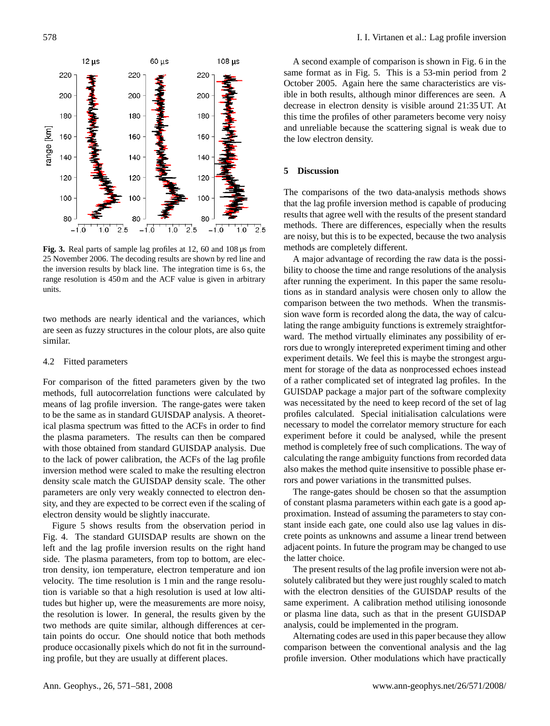

**Fig. 3.** Real parts of sample lag profiles at 12, 60 and 108 µs from 25 November 2006. The decoding results are shown by red line and the inversion results by black line. The integration time is 6 s, the range resolution is 450 m and the ACF value is given in arbitrary units.

two methods are nearly identical and the variances, which are seen as fuzzy structures in the colour plots, are also quite similar.

### 4.2 Fitted parameters

For comparison of the fitted parameters given by the two methods, full autocorrelation functions were calculated by means of lag profile inversion. The range-gates were taken to be the same as in standard GUISDAP analysis. A theoretical plasma spectrum was fitted to the ACFs in order to find the plasma parameters. The results can then be compared with those obtained from standard GUISDAP analysis. Due to the lack of power calibration, the ACFs of the lag profile inversion method were scaled to make the resulting electron density scale match the GUISDAP density scale. The other parameters are only very weakly connected to electron density, and they are expected to be correct even if the scaling of electron density would be slightly inaccurate.

Figure 5 shows results from the observation period in Fig. 4. The standard GUISDAP results are shown on the left and the lag profile inversion results on the right hand side. The plasma parameters, from top to bottom, are electron density, ion temperature, electron temperature and ion velocity. The time resolution is 1 min and the range resolution is variable so that a high resolution is used at low altitudes but higher up, were the measurements are more noisy, the resolution is lower. In general, the results given by the two methods are quite similar, although differences at certain points do occur. One should notice that both methods produce occasionally pixels which do not fit in the surrounding profile, but they are usually at different places.

A second example of comparison is shown in Fig. 6 in the same format as in Fig. 5. This is a 53-min period from 2 October 2005. Again here the same characteristics are visible in both results, although minor differences are seen. A decrease in electron density is visible around 21:35 UT. At this time the profiles of other parameters become very noisy and unreliable because the scattering signal is weak due to the low electron density.

#### **5 Discussion**

The comparisons of the two data-analysis methods shows that the lag profile inversion method is capable of producing results that agree well with the results of the present standard methods. There are differences, especially when the results are noisy, but this is to be expected, because the two analysis methods are completely different.

A major advantage of recording the raw data is the possibility to choose the time and range resolutions of the analysis after running the experiment. In this paper the same resolutions as in standard analysis were chosen only to allow the comparison between the two methods. When the transmission wave form is recorded along the data, the way of calculating the range ambiguity functions is extremely straightforward. The method virtually eliminates any possibility of errors due to wrongly interepreted experiment timing and other experiment details. We feel this is maybe the strongest argument for storage of the data as nonprocessed echoes instead of a rather complicated set of integrated lag profiles. In the GUISDAP package a major part of the software complexity was necessitated by the need to keep record of the set of lag profiles calculated. Special initialisation calculations were necessary to model the correlator memory structure for each experiment before it could be analysed, while the present method is completely free of such complications. The way of calculating the range ambiguity functions from recorded data also makes the method quite insensitive to possible phase errors and power variations in the transmitted pulses.

The range-gates should be chosen so that the assumption of constant plasma parameters within each gate is a good approximation. Instead of assuming the parameters to stay constant inside each gate, one could also use lag values in discrete points as unknowns and assume a linear trend between adjacent points. In future the program may be changed to use the latter choice.

The present results of the lag profile inversion were not absolutely calibrated but they were just roughly scaled to match with the electron densities of the GUISDAP results of the same experiment. A calibration method utilising ionosonde or plasma line data, such as that in the present GUISDAP analysis, could be implemented in the program.

Alternating codes are used in this paper because they allow comparison between the conventional analysis and the lag profile inversion. Other modulations which have practically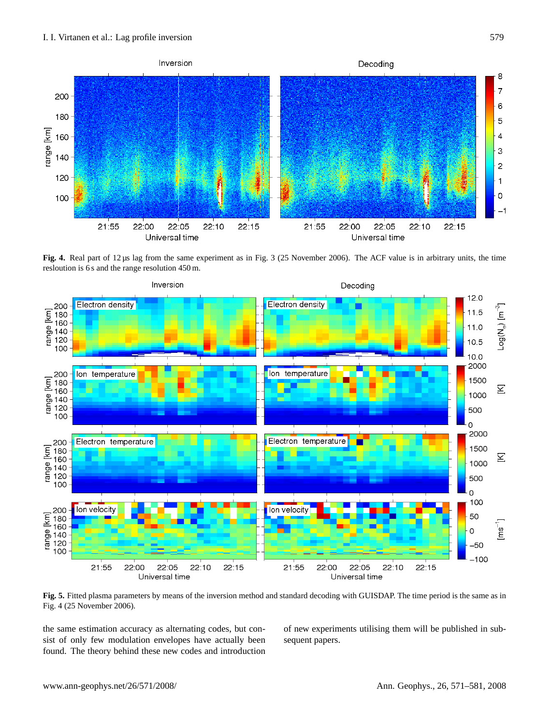

**Fig. 4.** Real part of 12 µs lag from the same experiment as in Fig. 3 (25 November 2006). The ACF value is in arbitrary units, the time resloution is 6 s and the range resolution 450 m.



**Fig. 5.** Fitted plasma parameters by means of the inversion method and standard decoding with GUISDAP. The time period is the same as in Fig. 4 (25 November 2006).

the same estimation accuracy as alternating codes, but consist of only few modulation envelopes have actually been found. The theory behind these new codes and introduction of new experiments utilising them will be published in subsequent papers.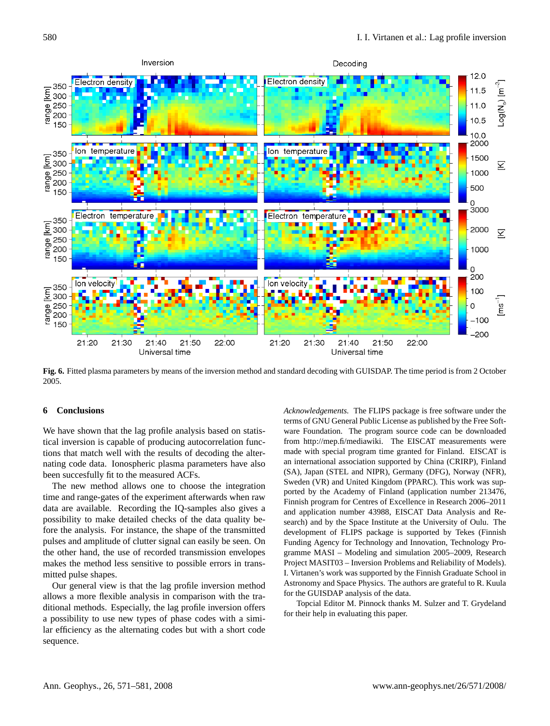

**Fig. 6.** Fitted plasma parameters by means of the inversion method and standard decoding with GUISDAP. The time period is from 2 October 2005.

## **6 Conclusions**

We have shown that the lag profile analysis based on statistical inversion is capable of producing autocorrelation functions that match well with the results of decoding the alternating code data. Ionospheric plasma parameters have also been succesfully fit to the measured ACFs.

The new method allows one to choose the integration time and range-gates of the experiment afterwards when raw data are available. Recording the IQ-samples also gives a possibility to make detailed checks of the data quality before the analysis. For instance, the shape of the transmitted pulses and amplitude of clutter signal can easily be seen. On the other hand, the use of recorded transmission envelopes makes the method less sensitive to possible errors in transmitted pulse shapes.

Our general view is that the lag profile inversion method allows a more flexible analysis in comparison with the traditional methods. Especially, the lag profile inversion offers a possibility to use new types of phase codes with a similar efficiency as the alternating codes but with a short code sequence.

*Acknowledgements.* The FLIPS package is free software under the terms of GNU General Public License as published by the Free Software Foundation. The program source code can be downloaded from http://mep.fi/mediawiki. The EISCAT measurements were made with special program time granted for Finland. EISCAT is an international association supported by China (CRIRP), Finland (SA), Japan (STEL and NIPR), Germany (DFG), Norway (NFR), Sweden (VR) and United Kingdom (PPARC). This work was supported by the Academy of Finland (application number 213476, Finnish program for Centres of Excellence in Research 2006–2011 and application number 43988, EISCAT Data Analysis and Research) and by the Space Institute at the University of Oulu. The development of FLIPS package is supported by Tekes (Finnish Funding Agency for Technology and Innovation, Technology Programme MASI – Modeling and simulation 2005–2009, Research Project MASIT03 – Inversion Problems and Reliability of Models). I. Virtanen's work was supported by the Finnish Graduate School in Astronomy and Space Physics. The authors are grateful to R. Kuula for the GUISDAP analysis of the data.

Topcial Editor M. Pinnock thanks M. Sulzer and T. Grydeland for their help in evaluating this paper.